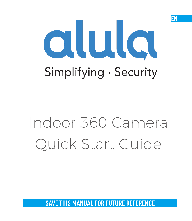# alula Simplifying · Security

EN

# Indoor 360 Camera Quick Start Guide

**SAVE THIS MANUAL FOR FUTURE REFERENCE**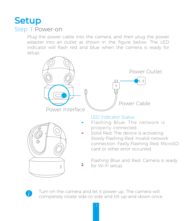### **Setup** Step 1 Power-on

Plug the power cable into the camera, and then plug the power adapter into an outlet as shown in the figure below. The LED indicator will flash red and blue when the camera is ready for setup.

| Power Interface | Power Outlet<br>o o<br>15<br>Power Cable                                                                                                                                                                                                         |
|-----------------|--------------------------------------------------------------------------------------------------------------------------------------------------------------------------------------------------------------------------------------------------|
|                 | <b>I ED Indicator Status</b><br>Flashing Blue: The network is<br>properly connected.<br>Solid Red: The device is activating.<br>Slowly Flashing Red: Invalid network<br>connection. Fastly Flashing Red: MicroSD<br>card or other error occurred |
|                 | Flashing Blue and Red: Camera is ready<br>for Wi-Fi setup.                                                                                                                                                                                       |

Turn on the camera and let it power up. The camera will completely rotate side-to-side and tilt up-and-down once.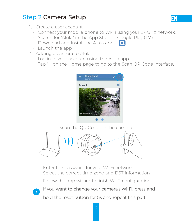#### Step 2 Camera Setup

- 1. Create a user account
	- Connect your mobile phone to Wi-Fi using your 2.4GHz network.
	- Search for "Alula" in the App Store or Google Play (TM).
	- Download and install the Alula app. **Q**
	- Launch the app.
- 2. Adding a camera to Alula
	- Log in to your account using the Alula app.
	- Tap "+" on the Home page to go to the Scan QR Code interface.



- Scan the QR Code on the camera.



- Enter the password for your Wi-Fi network.
- Select the correct time zone and DST information.
- Follow the app wizard to finish Wi-Fi configuration.

If you want to change your camera's Wi-Fi, press and hold the reset button for 5s and repeat this part.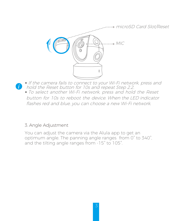microSD Card Slot/Reset



- If the camera fails to connect to your Wi-Fi network, press and hold the Reset button for 10s and repeat Step 2.2.
	- To select another Wi-Fi network, press and hold the Reset button for 10s to reboot the device. When the LED indicator flashes red and blue, you can choose a new Wi-Fi network.

#### 3. Angle Adjustment

You can adjust the camera via the Alula app to get an optimum angle. The panning angle ranges from 0° to 340°, and the tilting angle ranges from -15° to 105°.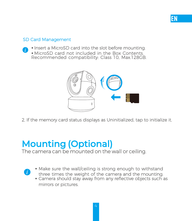#### SD Card Management

G.

- Insert a MicroSD card into the slot before mounting.
- MicroSD card not included in the Box Contents. Recommended compatibility: Class 10, Max.128GB.



**EN** 

2. If the memory card status displays as Uninitialized, tap to initialize it.

## Mounting (Optional)

The camera can be mounted on the wall or ceiling.

- Make sure the wall/ceiling is strong enough to withstand three times the weight of the camera and the mounting.
	- Camera should stay away from any reflective objects such as mirrors or pictures.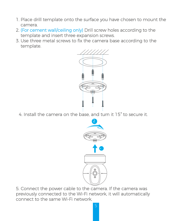- 1. Place drill template onto the surface you have chosen to mount the camera.
- 2. (For cement wall/ceiling only) Drill screw holes according to the template and insert three expansion screws.
- 3. Use three metal screws to fix the camera base according to the template.



4. Install the camera on the base, and turn it 15° to secure it.



5. Connect the power cable to the camera. If the camera was previously connected to the Wi-Fi network, it will automatically connect to the same Wi-Fi network.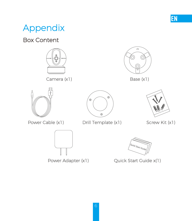# Appendix

#### Box Content